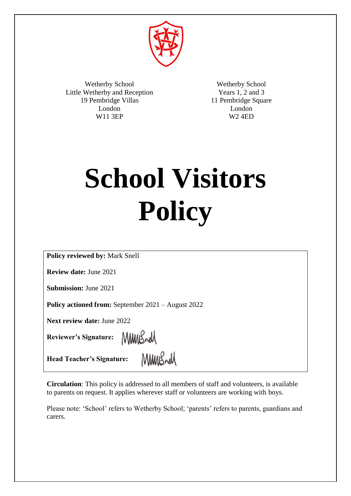

Wetherby School Little Wetherby and Reception 19 Pembridge Villas London W11 3EP

Wetherby School Years 1, 2 and 3 11 Pembridge Square London W2 4ED

# **School Visitors Policy**

**Policy reviewed by:** Mark Snell

**Review date:** June 2021

**Submission:** June 2021

**Policy actioned from:** September 2021 – August 2022

MMBrell

**Next review date:** June 2022

**Reviewer's Signature:** 

**Head Teacher's Signature:**

MMWSrd

**Circulation**: This policy is addressed to all members of staff and volunteers, is available to parents on request. It applies wherever staff or volunteers are working with boys.

Please note: 'School' refers to Wetherby School; 'parents' refers to parents, guardians and carers.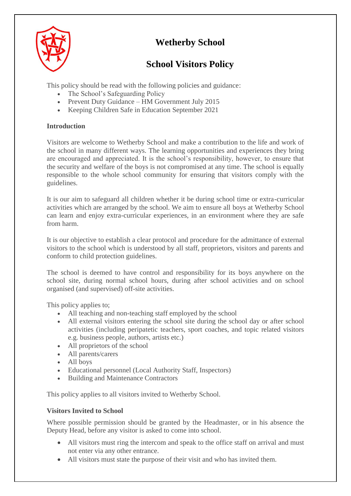

# **Wetherby School**

# **School Visitors Policy**

This policy should be read with the following policies and guidance:

- The School's Safeguarding Policy
- Prevent Duty Guidance HM Government July 2015
- Keeping Children Safe in Education September 2021

# **Introduction**

Visitors are welcome to Wetherby School and make a contribution to the life and work of the school in many different ways. The learning opportunities and experiences they bring are encouraged and appreciated. It is the school's responsibility, however, to ensure that the security and welfare of the boys is not compromised at any time. The school is equally responsible to the whole school community for ensuring that visitors comply with the guidelines.

It is our aim to safeguard all children whether it be during school time or extra-curricular activities which are arranged by the school. We aim to ensure all boys at Wetherby School can learn and enjoy extra-curricular experiences, in an environment where they are safe from harm.

It is our objective to establish a clear protocol and procedure for the admittance of external visitors to the school which is understood by all staff, proprietors, visitors and parents and conform to child protection guidelines.

The school is deemed to have control and responsibility for its boys anywhere on the school site, during normal school hours, during after school activities and on school organised (and supervised) off-site activities.

This policy applies to;

- All teaching and non-teaching staff employed by the school
- All external visitors entering the school site during the school day or after school activities (including peripatetic teachers, sport coaches, and topic related visitors e.g. business people, authors, artists etc.)
- All proprietors of the school
- All parents/carers
- All boys
- Educational personnel (Local Authority Staff, Inspectors)
- Building and Maintenance Contractors

This policy applies to all visitors invited to Wetherby School.

# **Visitors Invited to School**

Where possible permission should be granted by the Headmaster, or in his absence the Deputy Head, before any visitor is asked to come into school.

- All visitors must ring the intercom and speak to the office staff on arrival and must not enter via any other entrance.
- All visitors must state the purpose of their visit and who has invited them.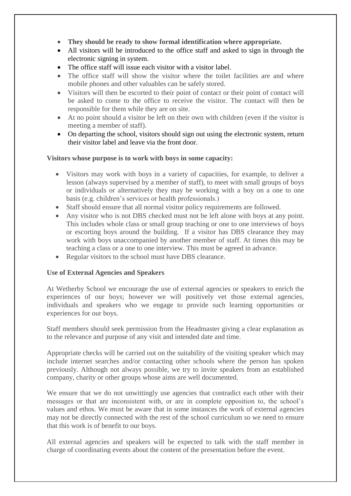- **They should be ready to show formal identification where appropriate.**
- All visitors will be introduced to the office staff and asked to sign in through the electronic signing in system.
- The office staff will issue each visitor with a visitor label.
- The office staff will show the visitor where the toilet facilities are and where mobile phones and other valuables can be safely stored.
- Visitors will then be escorted to their point of contact or their point of contact will be asked to come to the office to receive the visitor. The contact will then be responsible for them while they are on site.
- At no point should a visitor be left on their own with children (even if the visitor is meeting a member of staff).
- On departing the school, visitors should sign out using the electronic system, return their visitor label and leave via the front door.

#### **Visitors whose purpose is to work with boys in some capacity:**

- Visitors may work with boys in a variety of capacities, for example, to deliver a lesson (always supervised by a member of staff), to meet with small groups of boys or individuals or alternatively they may be working with a boy on a one to one basis (e.g. children's services or health professionals.)
- Staff should ensure that all normal visitor policy requirements are followed.
- Any visitor who is not DBS checked must not be left alone with boys at any point. This includes whole class or small group teaching or one to one interviews of boys or escorting boys around the building. If a visitor has DBS clearance they may work with boys unaccompanied by another member of staff. At times this may be teaching a class or a one to one interview. This must be agreed in advance.
- Regular visitors to the school must have DBS clearance.

#### **Use of External Agencies and Speakers**

At Wetherby School we encourage the use of external agencies or speakers to enrich the experiences of our boys; however we will positively vet those external agencies, individuals and speakers who we engage to provide such learning opportunities or experiences for our boys.

Staff members should seek permission from the Headmaster giving a clear explanation as to the relevance and purpose of any visit and intended date and time.

Appropriate checks will be carried out on the suitability of the visiting speaker which may include internet searches and/or contacting other schools where the person has spoken previously. Although not always possible, we try to invite speakers from an established company, charity or other groups whose aims are well documented.

We ensure that we do not unwittingly use agencies that contradict each other with their messages or that are inconsistent with, or are in complete opposition to, the school's values and ethos. We must be aware that in some instances the work of external agencies may not be directly connected with the rest of the school curriculum so we need to ensure that this work is of benefit to our boys.

All external agencies and speakers will be expected to talk with the staff member in charge of coordinating events about the content of the presentation before the event.